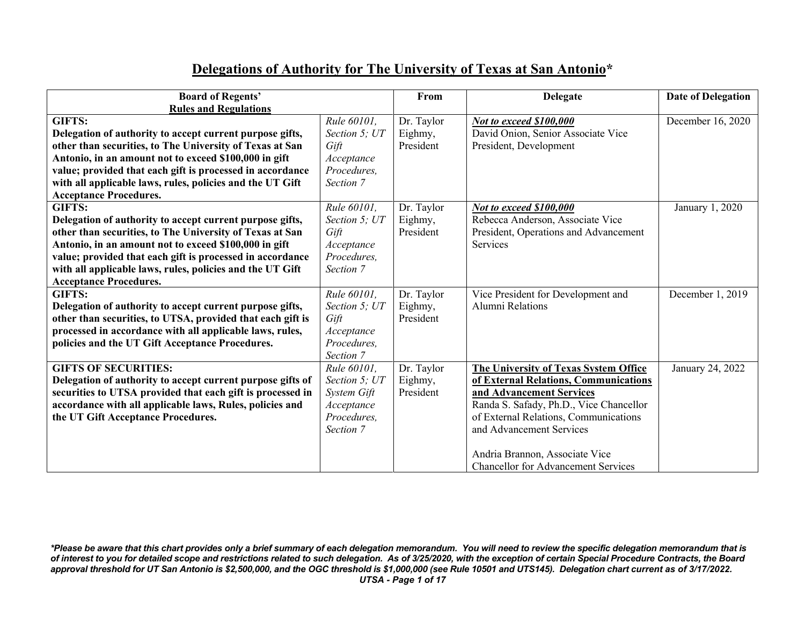## **Delegations of Authority for The University of Texas at San Antonio\***

| <b>Board of Regents'</b>                                   |               | From       | <b>Delegate</b>                              | Date of Delegation |
|------------------------------------------------------------|---------------|------------|----------------------------------------------|--------------------|
| <b>Rules and Regulations</b>                               |               |            |                                              |                    |
| <b>GIFTS:</b>                                              | Rule 60101,   | Dr. Taylor | Not to exceed \$100,000                      | December 16, 2020  |
| Delegation of authority to accept current purpose gifts,   | Section 5; UT | Eighmy,    | David Onion, Senior Associate Vice           |                    |
| other than securities, to The University of Texas at San   | Gift          | President  | President, Development                       |                    |
| Antonio, in an amount not to exceed \$100,000 in gift      | Acceptance    |            |                                              |                    |
| value; provided that each gift is processed in accordance  | Procedures,   |            |                                              |                    |
| with all applicable laws, rules, policies and the UT Gift  | Section 7     |            |                                              |                    |
| <b>Acceptance Procedures.</b>                              |               |            |                                              |                    |
| <b>GIFTS:</b>                                              | Rule 60101,   | Dr. Taylor | Not to exceed \$100,000                      | January 1, 2020    |
| Delegation of authority to accept current purpose gifts,   | Section 5; UT | Eighmy,    | Rebecca Anderson, Associate Vice             |                    |
| other than securities, to The University of Texas at San   | Gift          | President  | President, Operations and Advancement        |                    |
| Antonio, in an amount not to exceed \$100,000 in gift      | Acceptance    |            | Services                                     |                    |
| value; provided that each gift is processed in accordance  | Procedures,   |            |                                              |                    |
| with all applicable laws, rules, policies and the UT Gift  | Section 7     |            |                                              |                    |
| <b>Acceptance Procedures.</b>                              |               |            |                                              |                    |
| <b>GIFTS:</b>                                              | Rule 60101,   | Dr. Taylor | Vice President for Development and           | December 1, 2019   |
| Delegation of authority to accept current purpose gifts,   | Section 5; UT | Eighmy,    | Alumni Relations                             |                    |
| other than securities, to UTSA, provided that each gift is | Gift          | President  |                                              |                    |
| processed in accordance with all applicable laws, rules,   | Acceptance    |            |                                              |                    |
| policies and the UT Gift Acceptance Procedures.            | Procedures,   |            |                                              |                    |
|                                                            | Section 7     |            |                                              |                    |
| <b>GIFTS OF SECURITIES:</b>                                | Rule 60101.   | Dr. Taylor | <b>The University of Texas System Office</b> | January 24, 2022   |
| Delegation of authority to accept current purpose gifts of | Section 5; UT | Eighmy,    | of External Relations, Communications        |                    |
| securities to UTSA provided that each gift is processed in | System Gift   | President  | and Advancement Services                     |                    |
| accordance with all applicable laws, Rules, policies and   | Acceptance    |            | Randa S. Safady, Ph.D., Vice Chancellor      |                    |
| the UT Gift Acceptance Procedures.                         | Procedures,   |            | of External Relations, Communications        |                    |
|                                                            | Section 7     |            | and Advancement Services                     |                    |
|                                                            |               |            |                                              |                    |
|                                                            |               |            | Andria Brannon, Associate Vice               |                    |
|                                                            |               |            | <b>Chancellor for Advancement Services</b>   |                    |

*\*Please be aware that this chart provides only a brief summary of each delegation memorandum. You will need to review the specific delegation memorandum that is of interest to you for detailed scope and restrictions related to such delegation. As of 3/25/2020, with the exception of certain Special Procedure Contracts, the Board approval threshold for UT San Antonio is \$2,500,000, and the OGC threshold is \$1,000,000 (see Rule 10501 and UTS145). Delegation chart current as of 3/17/2022. UTSA - Page 1 of 17*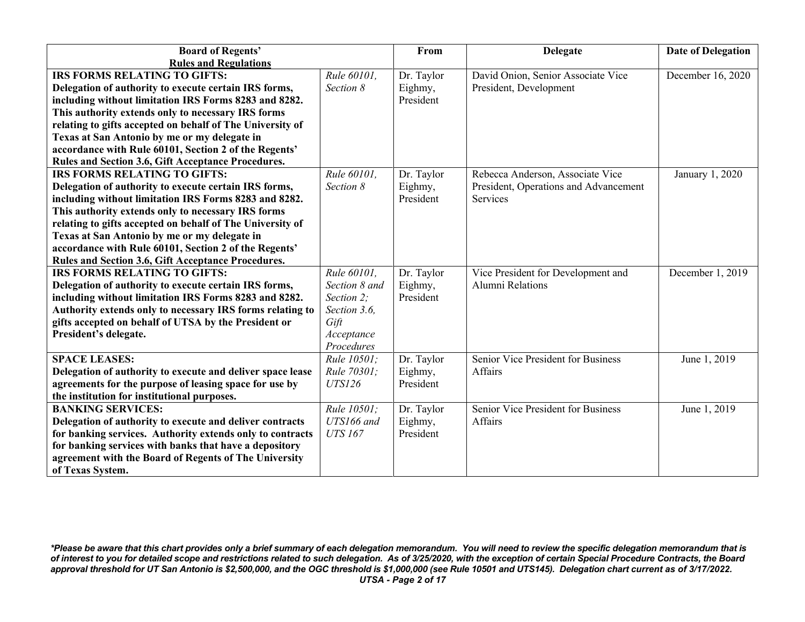| <b>Board of Regents'</b>                                   |                | From       | <b>Delegate</b>                       | <b>Date of Delegation</b> |
|------------------------------------------------------------|----------------|------------|---------------------------------------|---------------------------|
| <b>Rules and Regulations</b>                               |                |            |                                       |                           |
| IRS FORMS RELATING TO GIFTS:                               | Rule 60101,    | Dr. Taylor | David Onion, Senior Associate Vice    | December 16, 2020         |
| Delegation of authority to execute certain IRS forms,      | Section 8      | Eighmy,    | President, Development                |                           |
| including without limitation IRS Forms 8283 and 8282.      |                | President  |                                       |                           |
| This authority extends only to necessary IRS forms         |                |            |                                       |                           |
| relating to gifts accepted on behalf of The University of  |                |            |                                       |                           |
| Texas at San Antonio by me or my delegate in               |                |            |                                       |                           |
| accordance with Rule 60101, Section 2 of the Regents'      |                |            |                                       |                           |
| Rules and Section 3.6, Gift Acceptance Procedures.         |                |            |                                       |                           |
| <b>IRS FORMS RELATING TO GIFTS:</b>                        | Rule 60101,    | Dr. Taylor | Rebecca Anderson, Associate Vice      | January 1, 2020           |
| Delegation of authority to execute certain IRS forms,      | Section 8      | Eighmy,    | President, Operations and Advancement |                           |
| including without limitation IRS Forms 8283 and 8282.      |                | President  | <b>Services</b>                       |                           |
| This authority extends only to necessary IRS forms         |                |            |                                       |                           |
| relating to gifts accepted on behalf of The University of  |                |            |                                       |                           |
| Texas at San Antonio by me or my delegate in               |                |            |                                       |                           |
| accordance with Rule 60101, Section 2 of the Regents'      |                |            |                                       |                           |
| Rules and Section 3.6, Gift Acceptance Procedures.         |                |            |                                       |                           |
| <b>IRS FORMS RELATING TO GIFTS:</b>                        | Rule 60101,    | Dr. Taylor | Vice President for Development and    | December 1, 2019          |
| Delegation of authority to execute certain IRS forms,      | Section 8 and  | Eighmy,    | <b>Alumni Relations</b>               |                           |
| including without limitation IRS Forms 8283 and 8282.      | Section 2;     | President  |                                       |                           |
| Authority extends only to necessary IRS forms relating to  | Section 3.6,   |            |                                       |                           |
| gifts accepted on behalf of UTSA by the President or       | Gift           |            |                                       |                           |
| President's delegate.                                      | Acceptance     |            |                                       |                           |
|                                                            | Procedures     |            |                                       |                           |
| <b>SPACE LEASES:</b>                                       | Rule 10501;    | Dr. Taylor | Senior Vice President for Business    | June 1, 2019              |
| Delegation of authority to execute and deliver space lease | Rule 70301;    | Eighmy,    | Affairs                               |                           |
| agreements for the purpose of leasing space for use by     | <b>UTS126</b>  | President  |                                       |                           |
| the institution for institutional purposes.                |                |            |                                       |                           |
| <b>BANKING SERVICES:</b>                                   | Rule 10501;    | Dr. Taylor | Senior Vice President for Business    | June 1, 2019              |
| Delegation of authority to execute and deliver contracts   | UTS166 and     | Eighmy,    | Affairs                               |                           |
| for banking services. Authority extends only to contracts  | <b>UTS 167</b> | President  |                                       |                           |
| for banking services with banks that have a depository     |                |            |                                       |                           |
| agreement with the Board of Regents of The University      |                |            |                                       |                           |
| of Texas System.                                           |                |            |                                       |                           |

*\*Please be aware that this chart provides only a brief summary of each delegation memorandum. You will need to review the specific delegation memorandum that is of interest to you for detailed scope and restrictions related to such delegation. As of 3/25/2020, with the exception of certain Special Procedure Contracts, the Board approval threshold for UT San Antonio is \$2,500,000, and the OGC threshold is \$1,000,000 (see Rule 10501 and UTS145). Delegation chart current as of 3/17/2022. UTSA - Page 2 of 17*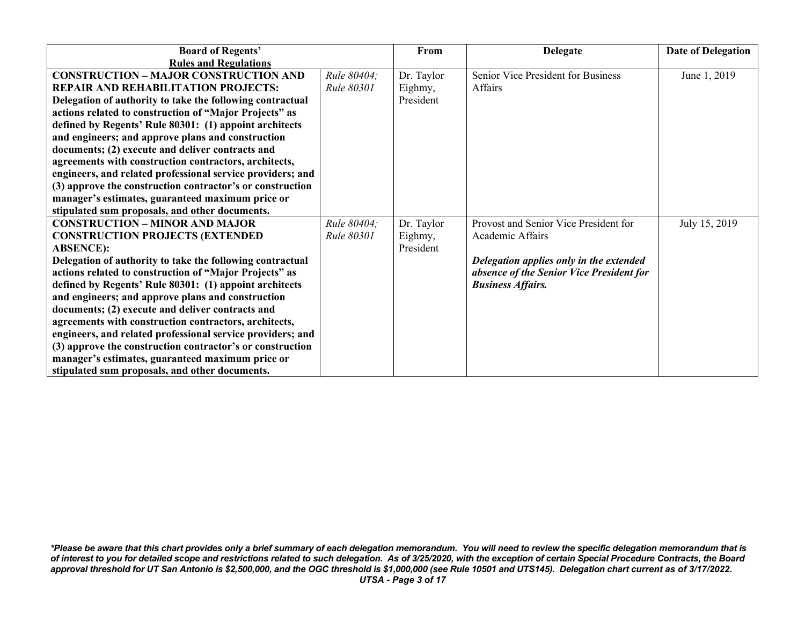| <b>Board of Regents'</b>                                   |             | From       | <b>Delegate</b>                          | <b>Date of Delegation</b> |
|------------------------------------------------------------|-------------|------------|------------------------------------------|---------------------------|
| <b>Rules and Regulations</b>                               |             |            |                                          |                           |
| <b>CONSTRUCTION - MAJOR CONSTRUCTION AND</b>               | Rule 80404; | Dr. Taylor | Senior Vice President for Business       | June 1, 2019              |
| <b>REPAIR AND REHABILITATION PROJECTS:</b>                 | Rule 80301  | Eighmy,    | Affairs                                  |                           |
| Delegation of authority to take the following contractual  |             | President  |                                          |                           |
| actions related to construction of "Major Projects" as     |             |            |                                          |                           |
| defined by Regents' Rule 80301: (1) appoint architects     |             |            |                                          |                           |
| and engineers; and approve plans and construction          |             |            |                                          |                           |
| documents; (2) execute and deliver contracts and           |             |            |                                          |                           |
| agreements with construction contractors, architects,      |             |            |                                          |                           |
| engineers, and related professional service providers; and |             |            |                                          |                           |
| (3) approve the construction contractor's or construction  |             |            |                                          |                           |
| manager's estimates, guaranteed maximum price or           |             |            |                                          |                           |
| stipulated sum proposals, and other documents.             |             |            |                                          |                           |
| <b>CONSTRUCTION - MINOR AND MAJOR</b>                      | Rule 80404; | Dr. Taylor | Provost and Senior Vice President for    | July 15, 2019             |
| <b>CONSTRUCTION PROJECTS (EXTENDED)</b>                    | Rule 80301  | Eighmy,    | Academic Affairs                         |                           |
| <b>ABSENCE):</b>                                           |             | President  |                                          |                           |
| Delegation of authority to take the following contractual  |             |            | Delegation applies only in the extended  |                           |
| actions related to construction of "Major Projects" as     |             |            | absence of the Senior Vice President for |                           |
| defined by Regents' Rule 80301: (1) appoint architects     |             |            | <b>Business Affairs.</b>                 |                           |
| and engineers; and approve plans and construction          |             |            |                                          |                           |
| documents; (2) execute and deliver contracts and           |             |            |                                          |                           |
| agreements with construction contractors, architects,      |             |            |                                          |                           |
| engineers, and related professional service providers; and |             |            |                                          |                           |
| (3) approve the construction contractor's or construction  |             |            |                                          |                           |
| manager's estimates, guaranteed maximum price or           |             |            |                                          |                           |
| stipulated sum proposals, and other documents.             |             |            |                                          |                           |

*\*Please be aware that this chart provides only a brief summary of each delegation memorandum. You will need to review the specific delegation memorandum that is of interest to you for detailed scope and restrictions related to such delegation. As of 3/25/2020, with the exception of certain Special Procedure Contracts, the Board approval threshold for UT San Antonio is \$2,500,000, and the OGC threshold is \$1,000,000 (see Rule 10501 and UTS145). Delegation chart current as of 3/17/2022. UTSA - Page 3 of 17*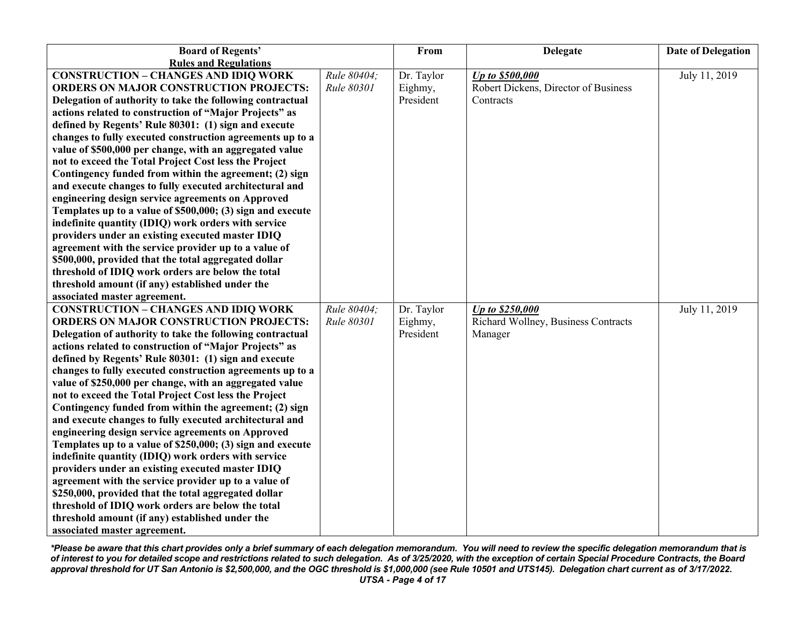| <b>Board of Regents'</b>                                   |             | From       | <b>Delegate</b>                      | <b>Date of Delegation</b> |
|------------------------------------------------------------|-------------|------------|--------------------------------------|---------------------------|
| <b>Rules and Regulations</b>                               |             |            |                                      |                           |
| <b>CONSTRUCTION - CHANGES AND IDIQ WORK</b>                | Rule 80404; | Dr. Taylor | Up to \$500,000                      | July 11, 2019             |
| <b>ORDERS ON MAJOR CONSTRUCTION PROJECTS:</b>              | Rule 80301  | Eighmy,    | Robert Dickens, Director of Business |                           |
| Delegation of authority to take the following contractual  |             | President  | Contracts                            |                           |
| actions related to construction of "Major Projects" as     |             |            |                                      |                           |
| defined by Regents' Rule 80301: (1) sign and execute       |             |            |                                      |                           |
| changes to fully executed construction agreements up to a  |             |            |                                      |                           |
| value of \$500,000 per change, with an aggregated value    |             |            |                                      |                           |
| not to exceed the Total Project Cost less the Project      |             |            |                                      |                           |
| Contingency funded from within the agreement; (2) sign     |             |            |                                      |                           |
| and execute changes to fully executed architectural and    |             |            |                                      |                           |
| engineering design service agreements on Approved          |             |            |                                      |                           |
| Templates up to a value of \$500,000; (3) sign and execute |             |            |                                      |                           |
| indefinite quantity (IDIQ) work orders with service        |             |            |                                      |                           |
| providers under an existing executed master IDIQ           |             |            |                                      |                           |
| agreement with the service provider up to a value of       |             |            |                                      |                           |
| \$500,000, provided that the total aggregated dollar       |             |            |                                      |                           |
| threshold of IDIQ work orders are below the total          |             |            |                                      |                           |
| threshold amount (if any) established under the            |             |            |                                      |                           |
| associated master agreement.                               |             |            |                                      |                           |
| <b>CONSTRUCTION - CHANGES AND IDIQ WORK</b>                | Rule 80404; | Dr. Taylor | Up to \$250,000                      | July 11, 2019             |
| <b>ORDERS ON MAJOR CONSTRUCTION PROJECTS:</b>              | Rule 80301  | Eighmy,    | Richard Wollney, Business Contracts  |                           |
| Delegation of authority to take the following contractual  |             | President  | Manager                              |                           |
| actions related to construction of "Major Projects" as     |             |            |                                      |                           |
| defined by Regents' Rule 80301: (1) sign and execute       |             |            |                                      |                           |
| changes to fully executed construction agreements up to a  |             |            |                                      |                           |
| value of \$250,000 per change, with an aggregated value    |             |            |                                      |                           |
| not to exceed the Total Project Cost less the Project      |             |            |                                      |                           |
| Contingency funded from within the agreement; (2) sign     |             |            |                                      |                           |
| and execute changes to fully executed architectural and    |             |            |                                      |                           |
| engineering design service agreements on Approved          |             |            |                                      |                           |
| Templates up to a value of \$250,000; (3) sign and execute |             |            |                                      |                           |
| indefinite quantity (IDIQ) work orders with service        |             |            |                                      |                           |
| providers under an existing executed master IDIQ           |             |            |                                      |                           |
| agreement with the service provider up to a value of       |             |            |                                      |                           |
| \$250,000, provided that the total aggregated dollar       |             |            |                                      |                           |
| threshold of IDIQ work orders are below the total          |             |            |                                      |                           |
| threshold amount (if any) established under the            |             |            |                                      |                           |
| associated master agreement.                               |             |            |                                      |                           |

*\*Please be aware that this chart provides only a brief summary of each delegation memorandum. You will need to review the specific delegation memorandum that is of interest to you for detailed scope and restrictions related to such delegation. As of 3/25/2020, with the exception of certain Special Procedure Contracts, the Board approval threshold for UT San Antonio is \$2,500,000, and the OGC threshold is \$1,000,000 (see Rule 10501 and UTS145). Delegation chart current as of 3/17/2022. UTSA - Page 4 of 17*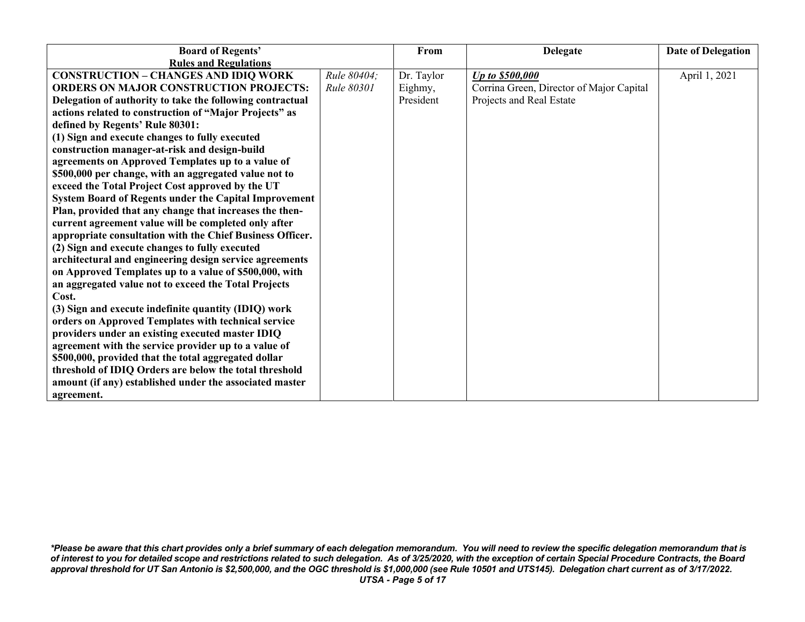| <b>Board of Regents'</b>                                     |             | From       | <b>Delegate</b>                          | Date of Delegation |
|--------------------------------------------------------------|-------------|------------|------------------------------------------|--------------------|
| <b>Rules and Regulations</b>                                 |             |            |                                          |                    |
| <b>CONSTRUCTION - CHANGES AND IDIQ WORK</b>                  | Rule 80404; | Dr. Taylor | Up to \$500,000                          | April 1, 2021      |
| <b>ORDERS ON MAJOR CONSTRUCTION PROJECTS:</b>                | Rule 80301  | Eighmy,    | Corrina Green, Director of Major Capital |                    |
| Delegation of authority to take the following contractual    |             | President  | Projects and Real Estate                 |                    |
| actions related to construction of "Major Projects" as       |             |            |                                          |                    |
| defined by Regents' Rule 80301:                              |             |            |                                          |                    |
| (1) Sign and execute changes to fully executed               |             |            |                                          |                    |
| construction manager-at-risk and design-build                |             |            |                                          |                    |
| agreements on Approved Templates up to a value of            |             |            |                                          |                    |
| \$500,000 per change, with an aggregated value not to        |             |            |                                          |                    |
| exceed the Total Project Cost approved by the UT             |             |            |                                          |                    |
| <b>System Board of Regents under the Capital Improvement</b> |             |            |                                          |                    |
| Plan, provided that any change that increases the then-      |             |            |                                          |                    |
| current agreement value will be completed only after         |             |            |                                          |                    |
| appropriate consultation with the Chief Business Officer.    |             |            |                                          |                    |
| (2) Sign and execute changes to fully executed               |             |            |                                          |                    |
| architectural and engineering design service agreements      |             |            |                                          |                    |
| on Approved Templates up to a value of \$500,000, with       |             |            |                                          |                    |
| an aggregated value not to exceed the Total Projects         |             |            |                                          |                    |
| Cost.                                                        |             |            |                                          |                    |
| (3) Sign and execute indefinite quantity (IDIQ) work         |             |            |                                          |                    |
| orders on Approved Templates with technical service          |             |            |                                          |                    |
| providers under an existing executed master IDIQ             |             |            |                                          |                    |
| agreement with the service provider up to a value of         |             |            |                                          |                    |
| \$500,000, provided that the total aggregated dollar         |             |            |                                          |                    |
| threshold of IDIQ Orders are below the total threshold       |             |            |                                          |                    |
| amount (if any) established under the associated master      |             |            |                                          |                    |
| agreement.                                                   |             |            |                                          |                    |

*\*Please be aware that this chart provides only a brief summary of each delegation memorandum. You will need to review the specific delegation memorandum that is of interest to you for detailed scope and restrictions related to such delegation. As of 3/25/2020, with the exception of certain Special Procedure Contracts, the Board approval threshold for UT San Antonio is \$2,500,000, and the OGC threshold is \$1,000,000 (see Rule 10501 and UTS145). Delegation chart current as of 3/17/2022. UTSA - Page 5 of 17*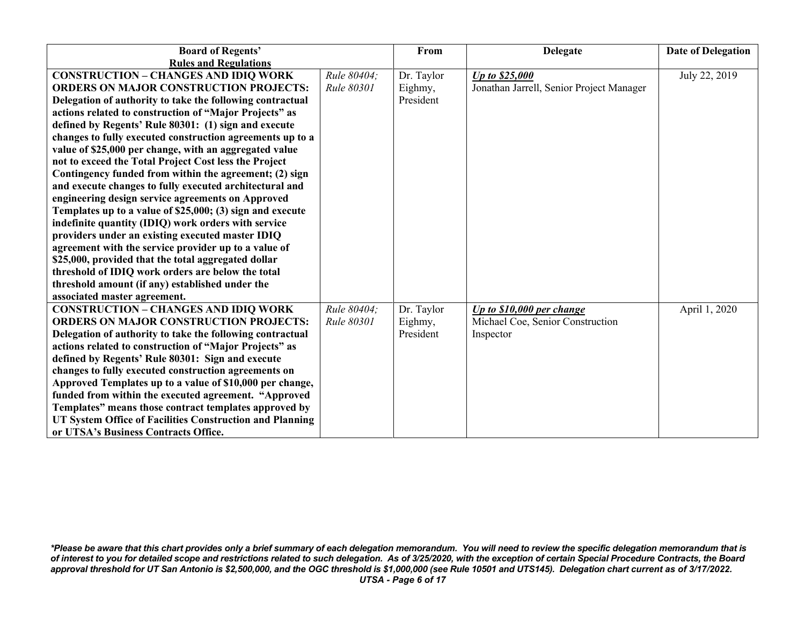| <b>Board of Regents'</b>                                  |             | From       | <b>Delegate</b>                          | <b>Date of Delegation</b> |
|-----------------------------------------------------------|-------------|------------|------------------------------------------|---------------------------|
| <b>Rules and Regulations</b>                              |             |            |                                          |                           |
| <b>CONSTRUCTION - CHANGES AND IDIQ WORK</b>               | Rule 80404: | Dr. Taylor | Up to \$25,000                           | July 22, 2019             |
| <b>ORDERS ON MAJOR CONSTRUCTION PROJECTS:</b>             | Rule 80301  | Eighmy,    | Jonathan Jarrell, Senior Project Manager |                           |
| Delegation of authority to take the following contractual |             | President  |                                          |                           |
| actions related to construction of "Major Projects" as    |             |            |                                          |                           |
| defined by Regents' Rule 80301: (1) sign and execute      |             |            |                                          |                           |
| changes to fully executed construction agreements up to a |             |            |                                          |                           |
| value of \$25,000 per change, with an aggregated value    |             |            |                                          |                           |
| not to exceed the Total Project Cost less the Project     |             |            |                                          |                           |
| Contingency funded from within the agreement; (2) sign    |             |            |                                          |                           |
| and execute changes to fully executed architectural and   |             |            |                                          |                           |
| engineering design service agreements on Approved         |             |            |                                          |                           |
| Templates up to a value of \$25,000; (3) sign and execute |             |            |                                          |                           |
| indefinite quantity (IDIQ) work orders with service       |             |            |                                          |                           |
| providers under an existing executed master IDIQ          |             |            |                                          |                           |
| agreement with the service provider up to a value of      |             |            |                                          |                           |
| \$25,000, provided that the total aggregated dollar       |             |            |                                          |                           |
| threshold of IDIQ work orders are below the total         |             |            |                                          |                           |
| threshold amount (if any) established under the           |             |            |                                          |                           |
| associated master agreement.                              |             |            |                                          |                           |
| <b>CONSTRUCTION - CHANGES AND IDIQ WORK</b>               | Rule 80404: | Dr. Taylor | Up to $$10,000$ per change               | April 1, 2020             |
| <b>ORDERS ON MAJOR CONSTRUCTION PROJECTS:</b>             | Rule 80301  | Eighmy,    | Michael Coe, Senior Construction         |                           |
| Delegation of authority to take the following contractual |             | President  | Inspector                                |                           |
| actions related to construction of "Major Projects" as    |             |            |                                          |                           |
| defined by Regents' Rule 80301: Sign and execute          |             |            |                                          |                           |
| changes to fully executed construction agreements on      |             |            |                                          |                           |
| Approved Templates up to a value of \$10,000 per change,  |             |            |                                          |                           |
| funded from within the executed agreement. "Approved      |             |            |                                          |                           |
| Templates" means those contract templates approved by     |             |            |                                          |                           |
| UT System Office of Facilities Construction and Planning  |             |            |                                          |                           |
| or UTSA's Business Contracts Office.                      |             |            |                                          |                           |

*\*Please be aware that this chart provides only a brief summary of each delegation memorandum. You will need to review the specific delegation memorandum that is of interest to you for detailed scope and restrictions related to such delegation. As of 3/25/2020, with the exception of certain Special Procedure Contracts, the Board approval threshold for UT San Antonio is \$2,500,000, and the OGC threshold is \$1,000,000 (see Rule 10501 and UTS145). Delegation chart current as of 3/17/2022. UTSA - Page 6 of 17*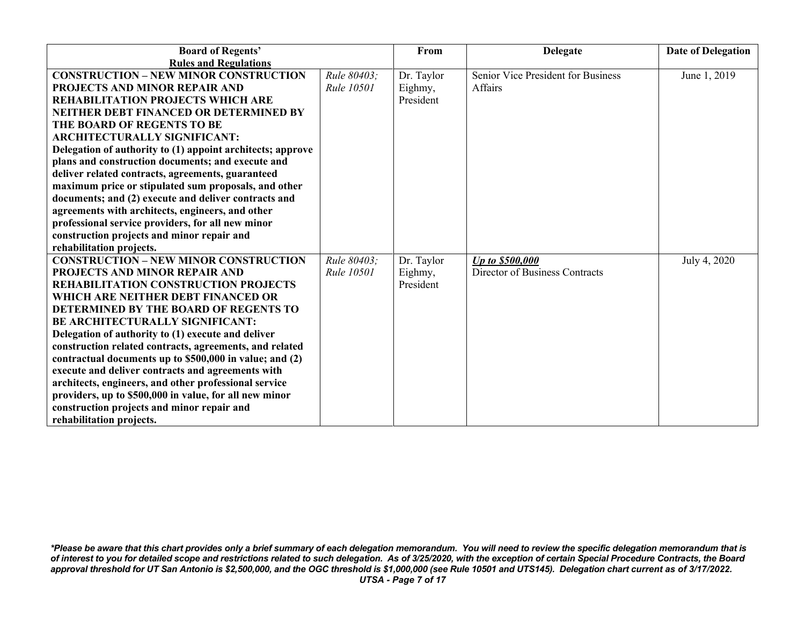| <b>Board of Regents'</b>                                                                                        |             | From       | <b>Delegate</b>                    | <b>Date of Delegation</b> |
|-----------------------------------------------------------------------------------------------------------------|-------------|------------|------------------------------------|---------------------------|
| <b>Rules and Regulations</b>                                                                                    |             |            |                                    |                           |
| <b>CONSTRUCTION - NEW MINOR CONSTRUCTION</b>                                                                    | Rule 80403: | Dr. Taylor | Senior Vice President for Business | June 1, 2019              |
| PROJECTS AND MINOR REPAIR AND                                                                                   | Rule 10501  | Eighmy,    | Affairs                            |                           |
| <b>REHABILITATION PROJECTS WHICH ARE</b>                                                                        |             | President  |                                    |                           |
| NEITHER DEBT FINANCED OR DETERMINED BY                                                                          |             |            |                                    |                           |
| THE BOARD OF REGENTS TO BE                                                                                      |             |            |                                    |                           |
| <b>ARCHITECTURALLY SIGNIFICANT:</b>                                                                             |             |            |                                    |                           |
| Delegation of authority to (1) appoint architects; approve                                                      |             |            |                                    |                           |
| plans and construction documents; and execute and                                                               |             |            |                                    |                           |
| deliver related contracts, agreements, guaranteed                                                               |             |            |                                    |                           |
| maximum price or stipulated sum proposals, and other                                                            |             |            |                                    |                           |
| documents; and (2) execute and deliver contracts and                                                            |             |            |                                    |                           |
| agreements with architects, engineers, and other                                                                |             |            |                                    |                           |
| professional service providers, for all new minor                                                               |             |            |                                    |                           |
| construction projects and minor repair and                                                                      |             |            |                                    |                           |
| rehabilitation projects.                                                                                        |             |            |                                    |                           |
| <b>CONSTRUCTION - NEW MINOR CONSTRUCTION</b>                                                                    | Rule 80403: | Dr. Taylor | Up to \$500,000                    | July 4, 2020              |
| PROJECTS AND MINOR REPAIR AND                                                                                   | Rule 10501  | Eighmy,    | Director of Business Contracts     |                           |
| REHABILITATION CONSTRUCTION PROJECTS                                                                            |             | President  |                                    |                           |
| WHICH ARE NEITHER DEBT FINANCED OR                                                                              |             |            |                                    |                           |
| DETERMINED BY THE BOARD OF REGENTS TO                                                                           |             |            |                                    |                           |
| <b>BE ARCHITECTURALLY SIGNIFICANT:</b>                                                                          |             |            |                                    |                           |
| Delegation of authority to (1) execute and deliver                                                              |             |            |                                    |                           |
| construction related contracts, agreements, and related                                                         |             |            |                                    |                           |
| contractual documents up to \$500,000 in value; and (2)                                                         |             |            |                                    |                           |
| execute and deliver contracts and agreements with                                                               |             |            |                                    |                           |
| architects, engineers, and other professional service<br>providers, up to \$500,000 in value, for all new minor |             |            |                                    |                           |
| construction projects and minor repair and                                                                      |             |            |                                    |                           |
| rehabilitation projects.                                                                                        |             |            |                                    |                           |
|                                                                                                                 |             |            |                                    |                           |

*\*Please be aware that this chart provides only a brief summary of each delegation memorandum. You will need to review the specific delegation memorandum that is of interest to you for detailed scope and restrictions related to such delegation. As of 3/25/2020, with the exception of certain Special Procedure Contracts, the Board approval threshold for UT San Antonio is \$2,500,000, and the OGC threshold is \$1,000,000 (see Rule 10501 and UTS145). Delegation chart current as of 3/17/2022. UTSA - Page 7 of 17*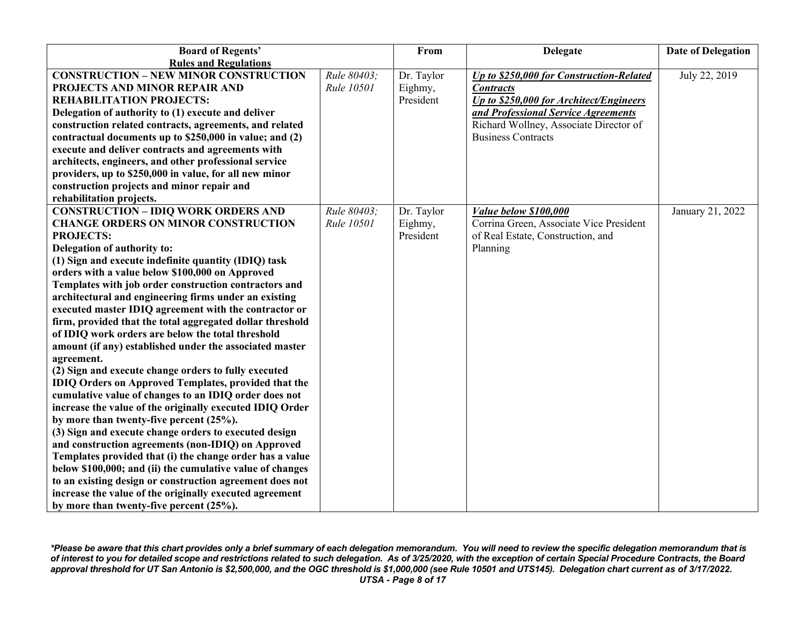| <b>Board of Regents'</b>                                    |                   | From       | <b>Delegate</b>                          | <b>Date of Delegation</b> |
|-------------------------------------------------------------|-------------------|------------|------------------------------------------|---------------------------|
| <b>Rules and Regulations</b>                                |                   |            |                                          |                           |
| <b>CONSTRUCTION - NEW MINOR CONSTRUCTION</b>                | Rule 80403;       | Dr. Taylor | Up to \$250,000 for Construction-Related | July 22, 2019             |
| PROJECTS AND MINOR REPAIR AND                               | Rule 10501        | Eighmy,    | <b>Contracts</b>                         |                           |
| <b>REHABILITATION PROJECTS:</b>                             |                   | President  | Up to \$250,000 for Architect/Engineers  |                           |
| Delegation of authority to (1) execute and deliver          |                   |            | and Professional Service Agreements      |                           |
| construction related contracts, agreements, and related     |                   |            | Richard Wollney, Associate Director of   |                           |
| contractual documents up to \$250,000 in value; and (2)     |                   |            | <b>Business Contracts</b>                |                           |
| execute and deliver contracts and agreements with           |                   |            |                                          |                           |
| architects, engineers, and other professional service       |                   |            |                                          |                           |
| providers, up to \$250,000 in value, for all new minor      |                   |            |                                          |                           |
| construction projects and minor repair and                  |                   |            |                                          |                           |
| rehabilitation projects.                                    |                   |            |                                          |                           |
| <b>CONSTRUCTION - IDIQ WORK ORDERS AND</b>                  | Rule 80403;       | Dr. Taylor | Value below \$100,000                    | January 21, 2022          |
| <b>CHANGE ORDERS ON MINOR CONSTRUCTION</b>                  | <b>Rule 10501</b> | Eighmy,    | Corrina Green, Associate Vice President  |                           |
| <b>PROJECTS:</b>                                            |                   | President  | of Real Estate, Construction, and        |                           |
| Delegation of authority to:                                 |                   |            | Planning                                 |                           |
| (1) Sign and execute indefinite quantity (IDIQ) task        |                   |            |                                          |                           |
| orders with a value below \$100,000 on Approved             |                   |            |                                          |                           |
| Templates with job order construction contractors and       |                   |            |                                          |                           |
| architectural and engineering firms under an existing       |                   |            |                                          |                           |
| executed master IDIQ agreement with the contractor or       |                   |            |                                          |                           |
| firm, provided that the total aggregated dollar threshold   |                   |            |                                          |                           |
| of IDIQ work orders are below the total threshold           |                   |            |                                          |                           |
| amount (if any) established under the associated master     |                   |            |                                          |                           |
| agreement.                                                  |                   |            |                                          |                           |
| (2) Sign and execute change orders to fully executed        |                   |            |                                          |                           |
| <b>IDIQ Orders on Approved Templates, provided that the</b> |                   |            |                                          |                           |
| cumulative value of changes to an IDIQ order does not       |                   |            |                                          |                           |
| increase the value of the originally executed IDIQ Order    |                   |            |                                          |                           |
| by more than twenty-five percent $(25\%)$ .                 |                   |            |                                          |                           |
| (3) Sign and execute change orders to executed design       |                   |            |                                          |                           |
| and construction agreements (non-IDIQ) on Approved          |                   |            |                                          |                           |
| Templates provided that (i) the change order has a value    |                   |            |                                          |                           |
| below \$100,000; and (ii) the cumulative value of changes   |                   |            |                                          |                           |
| to an existing design or construction agreement does not    |                   |            |                                          |                           |
| increase the value of the originally executed agreement     |                   |            |                                          |                           |
| by more than twenty-five percent $(25\%)$ .                 |                   |            |                                          |                           |

*\*Please be aware that this chart provides only a brief summary of each delegation memorandum. You will need to review the specific delegation memorandum that is of interest to you for detailed scope and restrictions related to such delegation. As of 3/25/2020, with the exception of certain Special Procedure Contracts, the Board approval threshold for UT San Antonio is \$2,500,000, and the OGC threshold is \$1,000,000 (see Rule 10501 and UTS145). Delegation chart current as of 3/17/2022. UTSA - Page 8 of 17*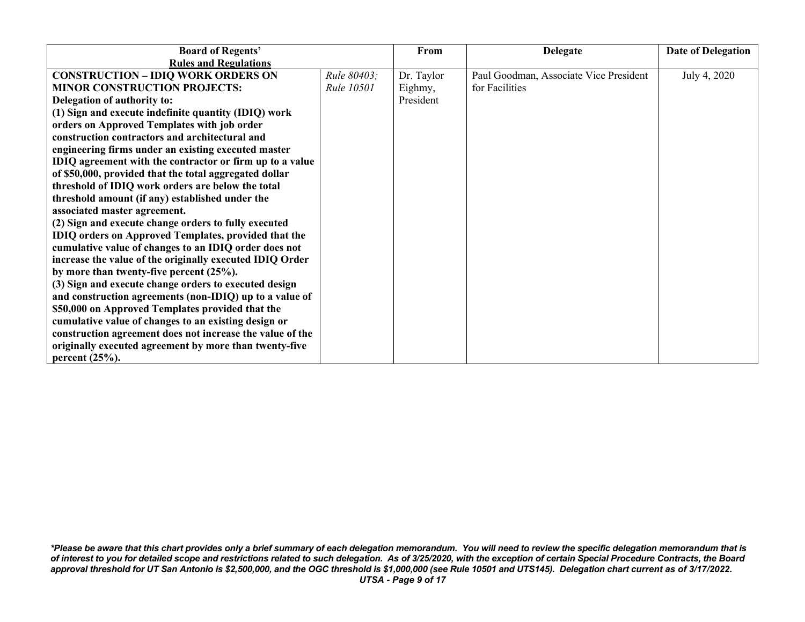| <b>Board of Regents'</b>                                  |                   | From       | <b>Delegate</b>                        | Date of Delegation |
|-----------------------------------------------------------|-------------------|------------|----------------------------------------|--------------------|
| <b>Rules and Regulations</b>                              |                   |            |                                        |                    |
| <b>CONSTRUCTION - IDIQ WORK ORDERS ON</b>                 | Rule 80403;       | Dr. Taylor | Paul Goodman, Associate Vice President | July 4, 2020       |
| <b>MINOR CONSTRUCTION PROJECTS:</b>                       | <b>Rule 10501</b> | Eighmy,    | for Facilities                         |                    |
| Delegation of authority to:                               |                   | President  |                                        |                    |
| (1) Sign and execute indefinite quantity (IDIQ) work      |                   |            |                                        |                    |
| orders on Approved Templates with job order               |                   |            |                                        |                    |
| construction contractors and architectural and            |                   |            |                                        |                    |
| engineering firms under an existing executed master       |                   |            |                                        |                    |
| IDIQ agreement with the contractor or firm up to a value  |                   |            |                                        |                    |
| of \$50,000, provided that the total aggregated dollar    |                   |            |                                        |                    |
| threshold of IDIQ work orders are below the total         |                   |            |                                        |                    |
| threshold amount (if any) established under the           |                   |            |                                        |                    |
| associated master agreement.                              |                   |            |                                        |                    |
| (2) Sign and execute change orders to fully executed      |                   |            |                                        |                    |
| IDIQ orders on Approved Templates, provided that the      |                   |            |                                        |                    |
| cumulative value of changes to an IDIQ order does not     |                   |            |                                        |                    |
| increase the value of the originally executed IDIQ Order  |                   |            |                                        |                    |
| by more than twenty-five percent $(25\%)$ .               |                   |            |                                        |                    |
| (3) Sign and execute change orders to executed design     |                   |            |                                        |                    |
| and construction agreements (non-IDIQ) up to a value of   |                   |            |                                        |                    |
| \$50,000 on Approved Templates provided that the          |                   |            |                                        |                    |
| cumulative value of changes to an existing design or      |                   |            |                                        |                    |
| construction agreement does not increase the value of the |                   |            |                                        |                    |
| originally executed agreement by more than twenty-five    |                   |            |                                        |                    |
| percent $(25%)$ .                                         |                   |            |                                        |                    |

*\*Please be aware that this chart provides only a brief summary of each delegation memorandum. You will need to review the specific delegation memorandum that is of interest to you for detailed scope and restrictions related to such delegation. As of 3/25/2020, with the exception of certain Special Procedure Contracts, the Board approval threshold for UT San Antonio is \$2,500,000, and the OGC threshold is \$1,000,000 (see Rule 10501 and UTS145). Delegation chart current as of 3/17/2022. UTSA - Page 9 of 17*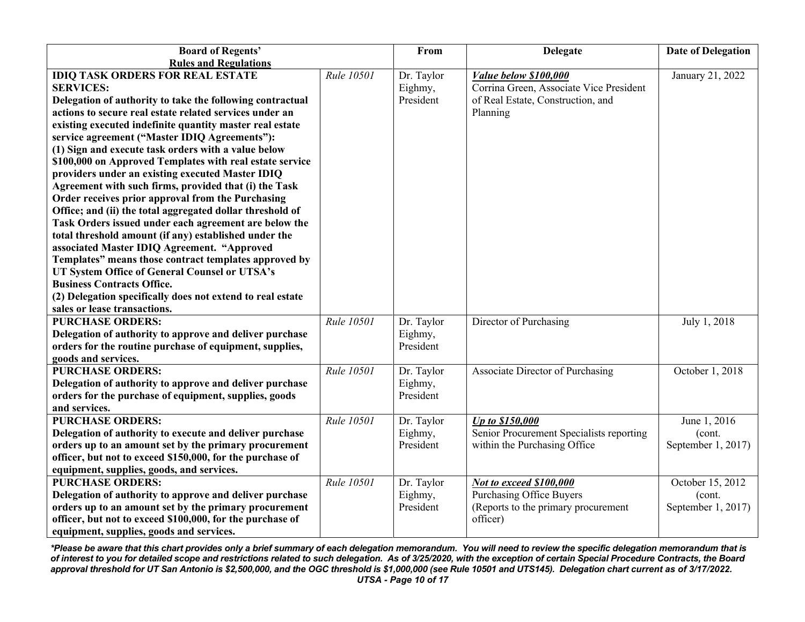| <b>Board of Regents'</b>                                   |            | From       | <b>Delegate</b>                          | <b>Date of Delegation</b> |
|------------------------------------------------------------|------------|------------|------------------------------------------|---------------------------|
| <b>Rules and Regulations</b>                               |            |            |                                          |                           |
| <b>IDIQ TASK ORDERS FOR REAL ESTATE</b>                    | Rule 10501 | Dr. Taylor | Value below \$100,000                    | January 21, 2022          |
| <b>SERVICES:</b>                                           |            | Eighmy,    | Corrina Green, Associate Vice President  |                           |
| Delegation of authority to take the following contractual  |            | President  | of Real Estate, Construction, and        |                           |
| actions to secure real estate related services under an    |            |            | Planning                                 |                           |
| existing executed indefinite quantity master real estate   |            |            |                                          |                           |
| service agreement ("Master IDIQ Agreements"):              |            |            |                                          |                           |
| (1) Sign and execute task orders with a value below        |            |            |                                          |                           |
| \$100,000 on Approved Templates with real estate service   |            |            |                                          |                           |
| providers under an existing executed Master IDIQ           |            |            |                                          |                           |
| Agreement with such firms, provided that (i) the Task      |            |            |                                          |                           |
| Order receives prior approval from the Purchasing          |            |            |                                          |                           |
| Office; and (ii) the total aggregated dollar threshold of  |            |            |                                          |                           |
| Task Orders issued under each agreement are below the      |            |            |                                          |                           |
| total threshold amount (if any) established under the      |            |            |                                          |                           |
| associated Master IDIQ Agreement. "Approved                |            |            |                                          |                           |
| Templates" means those contract templates approved by      |            |            |                                          |                           |
| UT System Office of General Counsel or UTSA's              |            |            |                                          |                           |
| <b>Business Contracts Office.</b>                          |            |            |                                          |                           |
| (2) Delegation specifically does not extend to real estate |            |            |                                          |                           |
| sales or lease transactions.                               |            |            |                                          |                           |
| <b>PURCHASE ORDERS:</b>                                    | Rule 10501 | Dr. Taylor | Director of Purchasing                   | July 1, 2018              |
| Delegation of authority to approve and deliver purchase    |            | Eighmy,    |                                          |                           |
| orders for the routine purchase of equipment, supplies,    |            | President  |                                          |                           |
| goods and services.                                        |            |            |                                          |                           |
| <b>PURCHASE ORDERS:</b>                                    | Rule 10501 | Dr. Taylor | Associate Director of Purchasing         | October 1, 2018           |
| Delegation of authority to approve and deliver purchase    |            | Eighmy,    |                                          |                           |
| orders for the purchase of equipment, supplies, goods      |            | President  |                                          |                           |
| and services.                                              |            |            |                                          |                           |
| <b>PURCHASE ORDERS:</b>                                    | Rule 10501 | Dr. Taylor | Up to \$150,000                          | June 1, 2016              |
| Delegation of authority to execute and deliver purchase    |            | Eighmy,    | Senior Procurement Specialists reporting | (cont.                    |
| orders up to an amount set by the primary procurement      |            | President  | within the Purchasing Office             | September 1, 2017)        |
| officer, but not to exceed \$150,000, for the purchase of  |            |            |                                          |                           |
| equipment, supplies, goods, and services.                  |            |            |                                          |                           |
| <b>PURCHASE ORDERS:</b>                                    | Rule 10501 | Dr. Taylor | <b>Not to exceed \$100,000</b>           | October 15, 2012          |
| Delegation of authority to approve and deliver purchase    |            | Eighmy,    | <b>Purchasing Office Buyers</b>          | (cont.                    |
| orders up to an amount set by the primary procurement      |            | President  | (Reports to the primary procurement      | September 1, 2017)        |
| officer, but not to exceed \$100,000, for the purchase of  |            |            | officer)                                 |                           |
| equipment, supplies, goods and services.                   |            |            |                                          |                           |

*\*Please be aware that this chart provides only a brief summary of each delegation memorandum. You will need to review the specific delegation memorandum that is of interest to you for detailed scope and restrictions related to such delegation. As of 3/25/2020, with the exception of certain Special Procedure Contracts, the Board approval threshold for UT San Antonio is \$2,500,000, and the OGC threshold is \$1,000,000 (see Rule 10501 and UTS145). Delegation chart current as of 3/17/2022. UTSA - Page 10 of 17*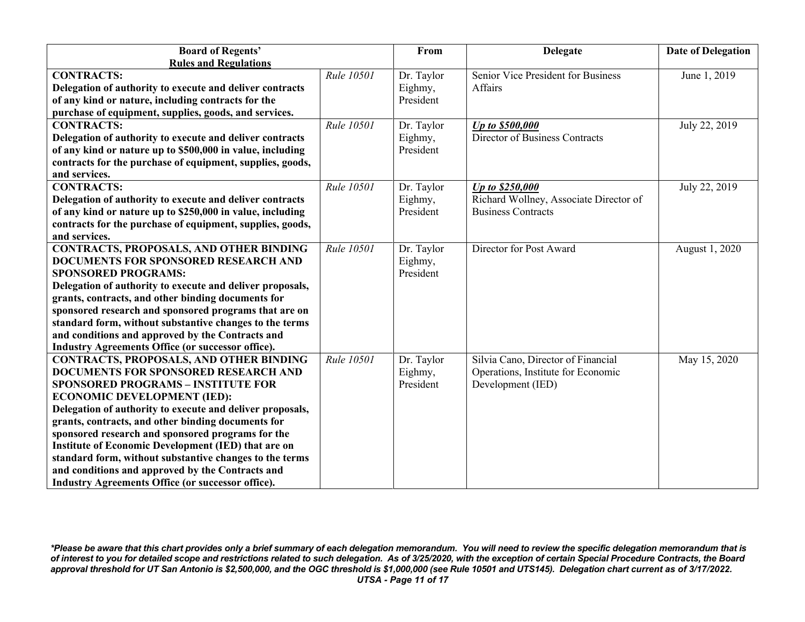| <b>Board of Regents'</b>                                  |            | From       | <b>Delegate</b>                        | <b>Date of Delegation</b> |
|-----------------------------------------------------------|------------|------------|----------------------------------------|---------------------------|
| <b>Rules and Regulations</b>                              |            |            |                                        |                           |
| <b>CONTRACTS:</b>                                         | Rule 10501 | Dr. Taylor | Senior Vice President for Business     | June 1, 2019              |
| Delegation of authority to execute and deliver contracts  |            | Eighmy,    | Affairs                                |                           |
| of any kind or nature, including contracts for the        |            | President  |                                        |                           |
| purchase of equipment, supplies, goods, and services.     |            |            |                                        |                           |
| <b>CONTRACTS:</b>                                         | Rule 10501 | Dr. Taylor | Up to \$500,000                        | July 22, 2019             |
| Delegation of authority to execute and deliver contracts  |            | Eighmy,    | Director of Business Contracts         |                           |
| of any kind or nature up to \$500,000 in value, including |            | President  |                                        |                           |
| contracts for the purchase of equipment, supplies, goods, |            |            |                                        |                           |
| and services.                                             |            |            |                                        |                           |
| <b>CONTRACTS:</b>                                         | Rule 10501 | Dr. Taylor | Up to \$250,000                        | July 22, 2019             |
| Delegation of authority to execute and deliver contracts  |            | Eighmy,    | Richard Wollney, Associate Director of |                           |
| of any kind or nature up to \$250,000 in value, including |            | President  | <b>Business Contracts</b>              |                           |
| contracts for the purchase of equipment, supplies, goods, |            |            |                                        |                           |
| and services.                                             |            |            |                                        |                           |
| <b>CONTRACTS, PROPOSALS, AND OTHER BINDING</b>            | Rule 10501 | Dr. Taylor | Director for Post Award                | August 1, 2020            |
| <b>DOCUMENTS FOR SPONSORED RESEARCH AND</b>               |            | Eighmy,    |                                        |                           |
| <b>SPONSORED PROGRAMS:</b>                                |            | President  |                                        |                           |
| Delegation of authority to execute and deliver proposals, |            |            |                                        |                           |
| grants, contracts, and other binding documents for        |            |            |                                        |                           |
| sponsored research and sponsored programs that are on     |            |            |                                        |                           |
| standard form, without substantive changes to the terms   |            |            |                                        |                           |
| and conditions and approved by the Contracts and          |            |            |                                        |                           |
| <b>Industry Agreements Office (or successor office).</b>  |            |            |                                        |                           |
| <b>CONTRACTS, PROPOSALS, AND OTHER BINDING</b>            | Rule 10501 | Dr. Taylor | Silvia Cano, Director of Financial     | May 15, 2020              |
| DOCUMENTS FOR SPONSORED RESEARCH AND                      |            | Eighmy,    | Operations, Institute for Economic     |                           |
| <b>SPONSORED PROGRAMS - INSTITUTE FOR</b>                 |            | President  | Development (IED)                      |                           |
| <b>ECONOMIC DEVELOPMENT (IED):</b>                        |            |            |                                        |                           |
| Delegation of authority to execute and deliver proposals, |            |            |                                        |                           |
| grants, contracts, and other binding documents for        |            |            |                                        |                           |
| sponsored research and sponsored programs for the         |            |            |                                        |                           |
| Institute of Economic Development (IED) that are on       |            |            |                                        |                           |
| standard form, without substantive changes to the terms   |            |            |                                        |                           |
| and conditions and approved by the Contracts and          |            |            |                                        |                           |
| Industry Agreements Office (or successor office).         |            |            |                                        |                           |

*\*Please be aware that this chart provides only a brief summary of each delegation memorandum. You will need to review the specific delegation memorandum that is of interest to you for detailed scope and restrictions related to such delegation. As of 3/25/2020, with the exception of certain Special Procedure Contracts, the Board approval threshold for UT San Antonio is \$2,500,000, and the OGC threshold is \$1,000,000 (see Rule 10501 and UTS145). Delegation chart current as of 3/17/2022. UTSA - Page 11 of 17*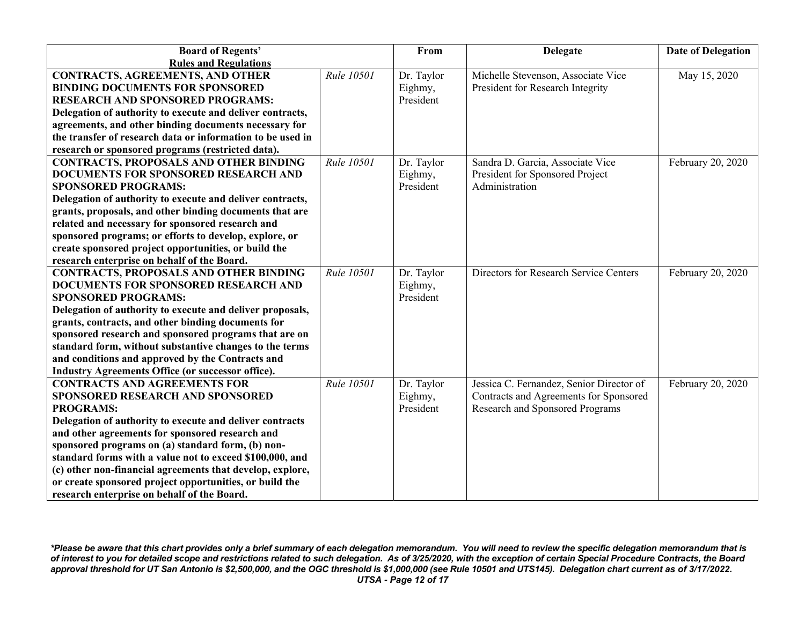| <b>Board of Regents'</b>                                   |            | From       | <b>Delegate</b>                          | <b>Date of Delegation</b> |
|------------------------------------------------------------|------------|------------|------------------------------------------|---------------------------|
| <b>Rules and Regulations</b>                               |            |            |                                          |                           |
| <b>CONTRACTS, AGREEMENTS, AND OTHER</b>                    | Rule 10501 | Dr. Taylor | Michelle Stevenson, Associate Vice       | May 15, 2020              |
| <b>BINDING DOCUMENTS FOR SPONSORED</b>                     |            | Eighmy,    | President for Research Integrity         |                           |
| <b>RESEARCH AND SPONSORED PROGRAMS:</b>                    |            | President  |                                          |                           |
| Delegation of authority to execute and deliver contracts,  |            |            |                                          |                           |
| agreements, and other binding documents necessary for      |            |            |                                          |                           |
| the transfer of research data or information to be used in |            |            |                                          |                           |
| research or sponsored programs (restricted data).          |            |            |                                          |                           |
| <b>CONTRACTS, PROPOSALS AND OTHER BINDING</b>              | Rule 10501 | Dr. Taylor | Sandra D. Garcia, Associate Vice         | February 20, 2020         |
| DOCUMENTS FOR SPONSORED RESEARCH AND                       |            | Eighmy,    | President for Sponsored Project          |                           |
| <b>SPONSORED PROGRAMS:</b>                                 |            | President  | Administration                           |                           |
| Delegation of authority to execute and deliver contracts,  |            |            |                                          |                           |
| grants, proposals, and other binding documents that are    |            |            |                                          |                           |
| related and necessary for sponsored research and           |            |            |                                          |                           |
| sponsored programs; or efforts to develop, explore, or     |            |            |                                          |                           |
| create sponsored project opportunities, or build the       |            |            |                                          |                           |
| research enterprise on behalf of the Board.                |            |            |                                          |                           |
| <b>CONTRACTS, PROPOSALS AND OTHER BINDING</b>              | Rule 10501 | Dr. Taylor | Directors for Research Service Centers   | February 20, 2020         |
| DOCUMENTS FOR SPONSORED RESEARCH AND                       |            | Eighmy,    |                                          |                           |
| <b>SPONSORED PROGRAMS:</b>                                 |            | President  |                                          |                           |
| Delegation of authority to execute and deliver proposals,  |            |            |                                          |                           |
| grants, contracts, and other binding documents for         |            |            |                                          |                           |
| sponsored research and sponsored programs that are on      |            |            |                                          |                           |
| standard form, without substantive changes to the terms    |            |            |                                          |                           |
| and conditions and approved by the Contracts and           |            |            |                                          |                           |
| Industry Agreements Office (or successor office).          |            |            |                                          |                           |
| <b>CONTRACTS AND AGREEMENTS FOR</b>                        | Rule 10501 | Dr. Taylor | Jessica C. Fernandez, Senior Director of | February 20, 2020         |
| SPONSORED RESEARCH AND SPONSORED                           |            | Eighmy,    | Contracts and Agreements for Sponsored   |                           |
| <b>PROGRAMS:</b>                                           |            | President  | Research and Sponsored Programs          |                           |
| Delegation of authority to execute and deliver contracts   |            |            |                                          |                           |
| and other agreements for sponsored research and            |            |            |                                          |                           |
| sponsored programs on (a) standard form, (b) non-          |            |            |                                          |                           |
| standard forms with a value not to exceed \$100,000, and   |            |            |                                          |                           |
| (c) other non-financial agreements that develop, explore,  |            |            |                                          |                           |
| or create sponsored project opportunities, or build the    |            |            |                                          |                           |
| research enterprise on behalf of the Board.                |            |            |                                          |                           |

*\*Please be aware that this chart provides only a brief summary of each delegation memorandum. You will need to review the specific delegation memorandum that is of interest to you for detailed scope and restrictions related to such delegation. As of 3/25/2020, with the exception of certain Special Procedure Contracts, the Board approval threshold for UT San Antonio is \$2,500,000, and the OGC threshold is \$1,000,000 (see Rule 10501 and UTS145). Delegation chart current as of 3/17/2022. UTSA - Page 12 of 17*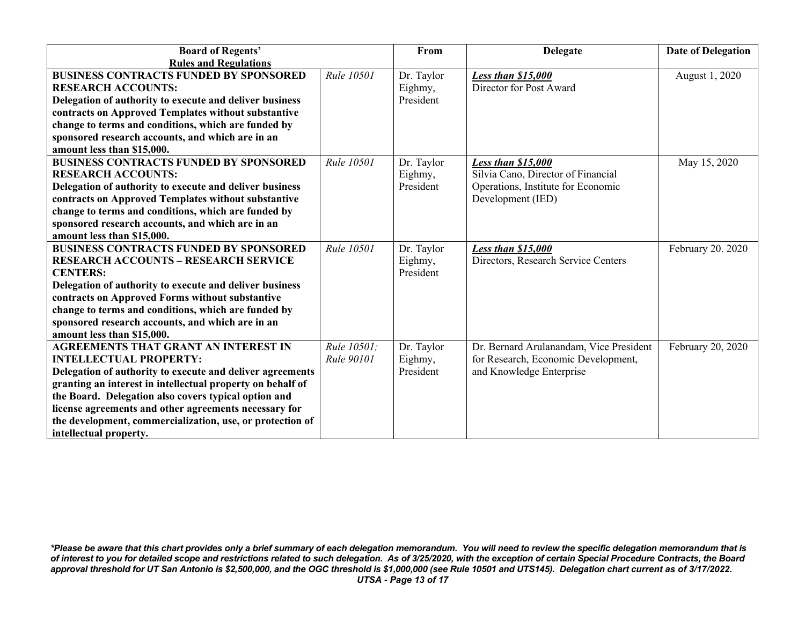| <b>Board of Regents'</b>                                   |             | From       | <b>Delegate</b>                         | <b>Date of Delegation</b> |
|------------------------------------------------------------|-------------|------------|-----------------------------------------|---------------------------|
| <b>Rules and Regulations</b>                               |             |            |                                         |                           |
| <b>BUSINESS CONTRACTS FUNDED BY SPONSORED</b>              | Rule 10501  | Dr. Taylor | Less than \$15,000                      | August 1, 2020            |
| <b>RESEARCH ACCOUNTS:</b>                                  |             | Eighmy,    | Director for Post Award                 |                           |
| Delegation of authority to execute and deliver business    |             | President  |                                         |                           |
| contracts on Approved Templates without substantive        |             |            |                                         |                           |
| change to terms and conditions, which are funded by        |             |            |                                         |                           |
| sponsored research accounts, and which are in an           |             |            |                                         |                           |
| amount less than \$15,000.                                 |             |            |                                         |                           |
| <b>BUSINESS CONTRACTS FUNDED BY SPONSORED</b>              | Rule 10501  | Dr. Taylor | Less than \$15,000                      | May 15, 2020              |
| <b>RESEARCH ACCOUNTS:</b>                                  |             | Eighmy,    | Silvia Cano, Director of Financial      |                           |
| Delegation of authority to execute and deliver business    |             | President  | Operations, Institute for Economic      |                           |
| contracts on Approved Templates without substantive        |             |            | Development (IED)                       |                           |
| change to terms and conditions, which are funded by        |             |            |                                         |                           |
| sponsored research accounts, and which are in an           |             |            |                                         |                           |
| amount less than \$15,000.                                 |             |            |                                         |                           |
| <b>BUSINESS CONTRACTS FUNDED BY SPONSORED</b>              | Rule 10501  | Dr. Taylor | Less than \$15,000                      | February 20. 2020         |
| <b>RESEARCH ACCOUNTS - RESEARCH SERVICE</b>                |             | Eighmy,    | Directors, Research Service Centers     |                           |
| <b>CENTERS:</b>                                            |             | President  |                                         |                           |
| Delegation of authority to execute and deliver business    |             |            |                                         |                           |
| contracts on Approved Forms without substantive            |             |            |                                         |                           |
| change to terms and conditions, which are funded by        |             |            |                                         |                           |
| sponsored research accounts, and which are in an           |             |            |                                         |                           |
| amount less than \$15,000.                                 |             |            |                                         |                           |
| <b>AGREEMENTS THAT GRANT AN INTEREST IN</b>                | Rule 10501: | Dr. Taylor | Dr. Bernard Arulanandam, Vice President | February 20, 2020         |
| <b>INTELLECTUAL PROPERTY:</b>                              | Rule 90101  | Eighmy,    | for Research, Economic Development,     |                           |
| Delegation of authority to execute and deliver agreements  |             | President  | and Knowledge Enterprise                |                           |
| granting an interest in intellectual property on behalf of |             |            |                                         |                           |
| the Board. Delegation also covers typical option and       |             |            |                                         |                           |
| license agreements and other agreements necessary for      |             |            |                                         |                           |
| the development, commercialization, use, or protection of  |             |            |                                         |                           |
| intellectual property.                                     |             |            |                                         |                           |

*\*Please be aware that this chart provides only a brief summary of each delegation memorandum. You will need to review the specific delegation memorandum that is of interest to you for detailed scope and restrictions related to such delegation. As of 3/25/2020, with the exception of certain Special Procedure Contracts, the Board approval threshold for UT San Antonio is \$2,500,000, and the OGC threshold is \$1,000,000 (see Rule 10501 and UTS145). Delegation chart current as of 3/17/2022. UTSA - Page 13 of 17*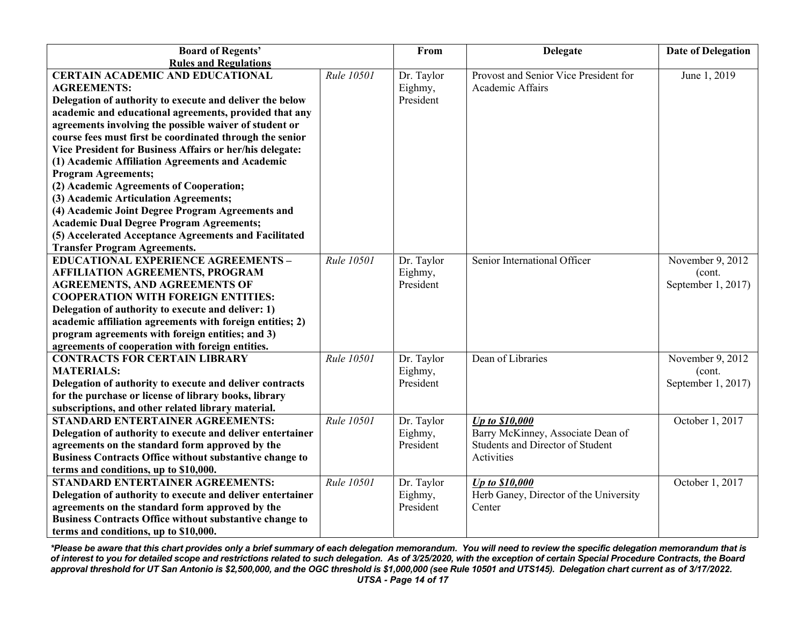| <b>Board of Regents'</b>                                       |            | From       | <b>Delegate</b>                        | <b>Date of Delegation</b> |
|----------------------------------------------------------------|------------|------------|----------------------------------------|---------------------------|
| <b>Rules and Regulations</b>                                   |            |            |                                        |                           |
| <b>CERTAIN ACADEMIC AND EDUCATIONAL</b>                        | Rule 10501 | Dr. Taylor | Provost and Senior Vice President for  | June 1, 2019              |
| <b>AGREEMENTS:</b>                                             |            | Eighmy,    | Academic Affairs                       |                           |
| Delegation of authority to execute and deliver the below       |            | President  |                                        |                           |
| academic and educational agreements, provided that any         |            |            |                                        |                           |
| agreements involving the possible waiver of student or         |            |            |                                        |                           |
| course fees must first be coordinated through the senior       |            |            |                                        |                           |
| Vice President for Business Affairs or her/his delegate:       |            |            |                                        |                           |
| (1) Academic Affiliation Agreements and Academic               |            |            |                                        |                           |
| <b>Program Agreements;</b>                                     |            |            |                                        |                           |
| (2) Academic Agreements of Cooperation;                        |            |            |                                        |                           |
| (3) Academic Articulation Agreements;                          |            |            |                                        |                           |
| (4) Academic Joint Degree Program Agreements and               |            |            |                                        |                           |
| <b>Academic Dual Degree Program Agreements;</b>                |            |            |                                        |                           |
| (5) Accelerated Acceptance Agreements and Facilitated          |            |            |                                        |                           |
| <b>Transfer Program Agreements.</b>                            |            |            |                                        |                           |
| <b>EDUCATIONAL EXPERIENCE AGREEMENTS -</b>                     | Rule 10501 | Dr. Taylor | Senior International Officer           | November 9, 2012          |
| <b>AFFILIATION AGREEMENTS, PROGRAM</b>                         |            | Eighmy,    |                                        | (cont.                    |
| <b>AGREEMENTS, AND AGREEMENTS OF</b>                           |            | President  |                                        | September 1, 2017)        |
| <b>COOPERATION WITH FOREIGN ENTITIES:</b>                      |            |            |                                        |                           |
| Delegation of authority to execute and deliver: 1)             |            |            |                                        |                           |
| academic affiliation agreements with foreign entities; 2)      |            |            |                                        |                           |
| program agreements with foreign entities; and 3)               |            |            |                                        |                           |
| agreements of cooperation with foreign entities.               |            |            |                                        |                           |
| <b>CONTRACTS FOR CERTAIN LIBRARY</b>                           | Rule 10501 | Dr. Taylor | Dean of Libraries                      | November 9, 2012          |
| <b>MATERIALS:</b>                                              |            | Eighmy,    |                                        | (cont.                    |
| Delegation of authority to execute and deliver contracts       |            | President  |                                        | September 1, 2017)        |
| for the purchase or license of library books, library          |            |            |                                        |                           |
| subscriptions, and other related library material.             |            |            |                                        |                           |
| STANDARD ENTERTAINER AGREEMENTS:                               | Rule 10501 | Dr. Taylor | <b>Up to \$10,000</b>                  | October 1, 2017           |
| Delegation of authority to execute and deliver entertainer     |            | Eighmy,    | Barry McKinney, Associate Dean of      |                           |
| agreements on the standard form approved by the                |            | President  | Students and Director of Student       |                           |
| Business Contracts Office without substantive change to        |            |            | <b>Activities</b>                      |                           |
| terms and conditions, up to \$10,000.                          |            |            |                                        |                           |
| STANDARD ENTERTAINER AGREEMENTS:                               | Rule 10501 | Dr. Taylor | <b>Up to \$10,000</b>                  | October 1, 2017           |
| Delegation of authority to execute and deliver entertainer     |            | Eighmy,    | Herb Ganey, Director of the University |                           |
| agreements on the standard form approved by the                |            | President  | Center                                 |                           |
| <b>Business Contracts Office without substantive change to</b> |            |            |                                        |                           |
| terms and conditions, up to \$10,000.                          |            |            |                                        |                           |

*\*Please be aware that this chart provides only a brief summary of each delegation memorandum. You will need to review the specific delegation memorandum that is of interest to you for detailed scope and restrictions related to such delegation. As of 3/25/2020, with the exception of certain Special Procedure Contracts, the Board approval threshold for UT San Antonio is \$2,500,000, and the OGC threshold is \$1,000,000 (see Rule 10501 and UTS145). Delegation chart current as of 3/17/2022. UTSA - Page 14 of 17*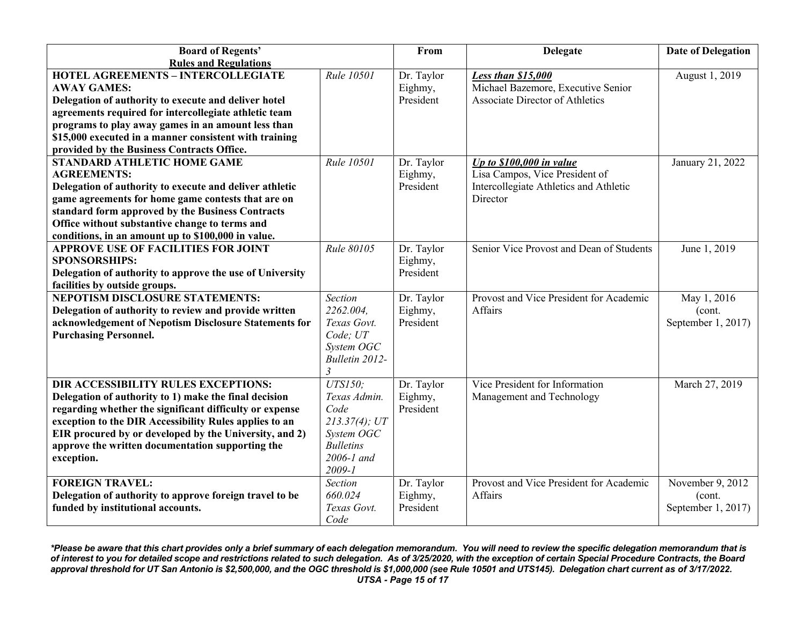| <b>Board of Regents'</b>                                 |                  | From       | <b>Delegate</b>                          | <b>Date of Delegation</b> |
|----------------------------------------------------------|------------------|------------|------------------------------------------|---------------------------|
| <b>Rules and Regulations</b>                             |                  |            |                                          |                           |
| <b>HOTEL AGREEMENTS - INTERCOLLEGIATE</b>                | Rule 10501       | Dr. Taylor | Less than \$15,000                       | August 1, 2019            |
| <b>AWAY GAMES:</b>                                       |                  | Eighmy,    | Michael Bazemore, Executive Senior       |                           |
| Delegation of authority to execute and deliver hotel     |                  | President  | <b>Associate Director of Athletics</b>   |                           |
| agreements required for intercollegiate athletic team    |                  |            |                                          |                           |
| programs to play away games in an amount less than       |                  |            |                                          |                           |
| \$15,000 executed in a manner consistent with training   |                  |            |                                          |                           |
| provided by the Business Contracts Office.               |                  |            |                                          |                           |
| <b>STANDARD ATHLETIC HOME GAME</b>                       | Rule 10501       | Dr. Taylor | Up to $$100,000$ in value                | January 21, 2022          |
| <b>AGREEMENTS:</b>                                       |                  | Eighmy,    | Lisa Campos, Vice President of           |                           |
| Delegation of authority to execute and deliver athletic  |                  | President  | Intercollegiate Athletics and Athletic   |                           |
| game agreements for home game contests that are on       |                  |            | Director                                 |                           |
| standard form approved by the Business Contracts         |                  |            |                                          |                           |
| Office without substantive change to terms and           |                  |            |                                          |                           |
| conditions, in an amount up to \$100,000 in value.       |                  |            |                                          |                           |
| <b>APPROVE USE OF FACILITIES FOR JOINT</b>               | Rule 80105       | Dr. Taylor | Senior Vice Provost and Dean of Students | June 1, 2019              |
| <b>SPONSORSHIPS:</b>                                     |                  | Eighmy,    |                                          |                           |
| Delegation of authority to approve the use of University |                  | President  |                                          |                           |
| facilities by outside groups.                            |                  |            |                                          |                           |
| <b>NEPOTISM DISCLOSURE STATEMENTS:</b>                   | <b>Section</b>   | Dr. Taylor | Provost and Vice President for Academic  | May 1, 2016               |
| Delegation of authority to review and provide written    | 2262.004.        | Eighmy,    | Affairs                                  | (cont.                    |
| acknowledgement of Nepotism Disclosure Statements for    | Texas Govt.      | President  |                                          | September 1, 2017)        |
| <b>Purchasing Personnel.</b>                             | Code; UT         |            |                                          |                           |
|                                                          | System OGC       |            |                                          |                           |
|                                                          | Bulletin 2012-   |            |                                          |                           |
|                                                          |                  |            |                                          |                           |
| DIR ACCESSIBILITY RULES EXCEPTIONS:                      | <b>UTS150</b> ;  | Dr. Taylor | Vice President for Information           | March 27, 2019            |
| Delegation of authority to 1) make the final decision    | Texas Admin.     | Eighmy,    | Management and Technology                |                           |
| regarding whether the significant difficulty or expense  | Code             | President  |                                          |                           |
| exception to the DIR Accessibility Rules applies to an   | $213.37(4)$ ; UT |            |                                          |                           |
| EIR procured by or developed by the University, and 2)   | System OGC       |            |                                          |                           |
| approve the written documentation supporting the         | <b>Bulletins</b> |            |                                          |                           |
| exception.                                               | $2006 - 1$ and   |            |                                          |                           |
|                                                          | 2009-1           |            |                                          |                           |
| <b>FOREIGN TRAVEL:</b>                                   | Section          | Dr. Taylor | Provost and Vice President for Academic  | November 9, 2012          |
| Delegation of authority to approve foreign travel to be  | 660.024          | Eighmy,    | Affairs                                  | (cont.                    |
| funded by institutional accounts.                        | Texas Govt.      | President  |                                          | September 1, 2017)        |
|                                                          | Code             |            |                                          |                           |

*\*Please be aware that this chart provides only a brief summary of each delegation memorandum. You will need to review the specific delegation memorandum that is of interest to you for detailed scope and restrictions related to such delegation. As of 3/25/2020, with the exception of certain Special Procedure Contracts, the Board approval threshold for UT San Antonio is \$2,500,000, and the OGC threshold is \$1,000,000 (see Rule 10501 and UTS145). Delegation chart current as of 3/17/2022. UTSA - Page 15 of 17*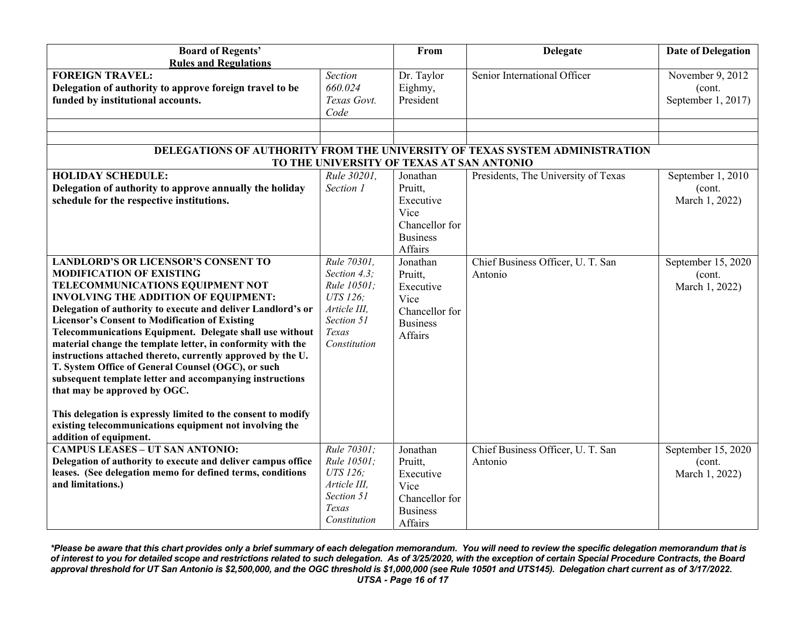| <b>Board of Regents'</b>                                                                                                                                                                                                                                                                                                                                                                                                                                                                                                                                                                                                                                                                                   |                                                                                               | From                                                                                     | <b>Delegate</b>                                                             | <b>Date of Delegation</b>                        |
|------------------------------------------------------------------------------------------------------------------------------------------------------------------------------------------------------------------------------------------------------------------------------------------------------------------------------------------------------------------------------------------------------------------------------------------------------------------------------------------------------------------------------------------------------------------------------------------------------------------------------------------------------------------------------------------------------------|-----------------------------------------------------------------------------------------------|------------------------------------------------------------------------------------------|-----------------------------------------------------------------------------|--------------------------------------------------|
| <b>Rules and Regulations</b>                                                                                                                                                                                                                                                                                                                                                                                                                                                                                                                                                                                                                                                                               |                                                                                               |                                                                                          |                                                                             |                                                  |
| <b>FOREIGN TRAVEL:</b><br>Delegation of authority to approve foreign travel to be<br>funded by institutional accounts.                                                                                                                                                                                                                                                                                                                                                                                                                                                                                                                                                                                     | <b>Section</b><br>660.024<br>Texas Govt.<br>Code                                              | Dr. Taylor<br>Eighmy,<br>President                                                       | Senior International Officer                                                | November 9, 2012<br>(cont.<br>September 1, 2017) |
|                                                                                                                                                                                                                                                                                                                                                                                                                                                                                                                                                                                                                                                                                                            |                                                                                               |                                                                                          |                                                                             |                                                  |
|                                                                                                                                                                                                                                                                                                                                                                                                                                                                                                                                                                                                                                                                                                            |                                                                                               |                                                                                          |                                                                             |                                                  |
|                                                                                                                                                                                                                                                                                                                                                                                                                                                                                                                                                                                                                                                                                                            |                                                                                               |                                                                                          | DELEGATIONS OF AUTHORITY FROM THE UNIVERSITY OF TEXAS SYSTEM ADMINISTRATION |                                                  |
|                                                                                                                                                                                                                                                                                                                                                                                                                                                                                                                                                                                                                                                                                                            |                                                                                               | TO THE UNIVERSITY OF TEXAS AT SAN ANTONIO                                                |                                                                             |                                                  |
| <b>HOLIDAY SCHEDULE:</b><br>Delegation of authority to approve annually the holiday<br>schedule for the respective institutions.                                                                                                                                                                                                                                                                                                                                                                                                                                                                                                                                                                           | Rule 30201,<br>Section 1                                                                      | Jonathan<br>Pruitt,<br>Executive<br>Vice<br>Chancellor for<br><b>Business</b><br>Affairs | Presidents, The University of Texas                                         | September 1, 2010<br>(cont.<br>March 1, 2022)    |
| <b>LANDLORD'S OR LICENSOR'S CONSENT TO</b><br><b>MODIFICATION OF EXISTING</b>                                                                                                                                                                                                                                                                                                                                                                                                                                                                                                                                                                                                                              | Rule 70301,<br>Section 4.3;                                                                   | Jonathan                                                                                 | Chief Business Officer, U. T. San                                           | September 15, 2020                               |
| TELECOMMUNICATIONS EQUIPMENT NOT<br><b>INVOLVING THE ADDITION OF EQUIPMENT:</b><br>Delegation of authority to execute and deliver Landlord's or<br><b>Licensor's Consent to Modification of Existing</b><br>Telecommunications Equipment. Delegate shall use without<br>material change the template letter, in conformity with the<br>instructions attached thereto, currently approved by the U.<br>T. System Office of General Counsel (OGC), or such<br>subsequent template letter and accompanying instructions<br>that may be approved by OGC.<br>This delegation is expressly limited to the consent to modify<br>existing telecommunications equipment not involving the<br>addition of equipment. | Rule 10501;<br>UTS 126:<br>Article III,<br>Section 51<br>Texas<br>Constitution                | Pruitt,<br>Executive<br>Vice<br>Chancellor for<br><b>Business</b><br>Affairs             | Antonio                                                                     | (cont.<br>March 1, 2022)                         |
| <b>CAMPUS LEASES - UT SAN ANTONIO:</b><br>Delegation of authority to execute and deliver campus office<br>leases. (See delegation memo for defined terms, conditions<br>and limitations.)                                                                                                                                                                                                                                                                                                                                                                                                                                                                                                                  | Rule 70301:<br>Rule 10501;<br>UTS 126;<br>Article III,<br>Section 51<br>Texas<br>Constitution | Jonathan<br>Pruitt.<br>Executive<br>Vice<br>Chancellor for<br><b>Business</b><br>Affairs | Chief Business Officer, U. T. San<br>Antonio                                | September 15, 2020<br>(cont.<br>March 1, 2022)   |

*\*Please be aware that this chart provides only a brief summary of each delegation memorandum. You will need to review the specific delegation memorandum that is of interest to you for detailed scope and restrictions related to such delegation. As of 3/25/2020, with the exception of certain Special Procedure Contracts, the Board approval threshold for UT San Antonio is \$2,500,000, and the OGC threshold is \$1,000,000 (see Rule 10501 and UTS145). Delegation chart current as of 3/17/2022. UTSA - Page 16 of 17*